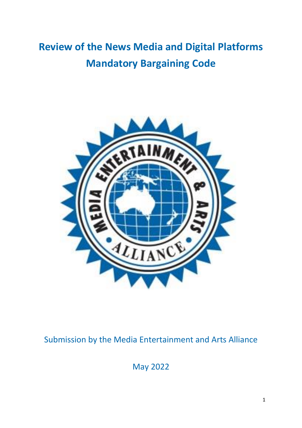# **Review of the News Media and Digital Platforms Mandatory Bargaining Code**



# Submission by the Media Entertainment and Arts Alliance

May 2022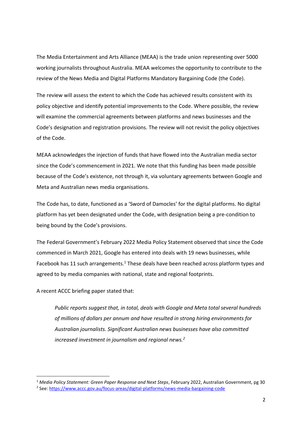The Media Entertainment and Arts Alliance (MEAA) is the trade union representing over 5000 working journalists throughout Australia. MEAA welcomes the opportunity to contribute to the review of the News Media and Digital Platforms Mandatory Bargaining Code (the Code).

The review will assess the extent to which the Code has achieved results consistent with its policy objective and identify potential improvements to the Code. Where possible, the review will examine the commercial agreements between platforms and news businesses and the Code's designation and registration provisions. The review will not revisit the policy objectives of the Code.

MEAA acknowledges the injection of funds that have flowed into the Australian media sector since the Code's commencement in 2021. We note that this funding has been made possible because of the Code's existence, not through it, via voluntary agreements between Google and Meta and Australian news media organisations.

The Code has, to date, functioned as a 'Sword of Damocles' for the digital platforms. No digital platform has yet been designated under the Code, with designation being a pre-condition to being bound by the Code's provisions.

The Federal Government's February 2022 Media Policy Statement observed that since the Code commenced in March 2021, Google has entered into deals with 19 news businesses, while Facebook has 11 such arrangements.<sup>1</sup> These deals have been reached across platform types and agreed to by media companies with national, state and regional footprints.

A recent ACCC briefing paper stated that:

*Public reports suggest that, in total, deals with Google and Meta total several hundreds of millions of dollars per annum and have resulted in strong hiring environments for Australian journalists. Significant Australian news businesses have also committed increased investment in journalism and regional news.<sup>2</sup>*

<sup>1</sup> *Media Policy Statement: Green Paper Response and Next Steps*, February 2022, Australian Government, pg 30 <sup>2</sup> See:<https://www.accc.gov.au/focus-areas/digital-platforms/news-media-bargaining-code>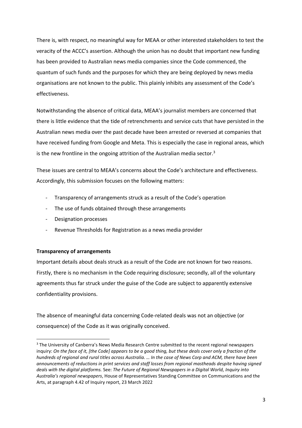There is, with respect, no meaningful way for MEAA or other interested stakeholders to test the veracity of the ACCC's assertion. Although the union has no doubt that important new funding has been provided to Australian news media companies since the Code commenced, the quantum of such funds and the purposes for which they are being deployed by news media organisations are not known to the public. This plainly inhibits any assessment of the Code's effectiveness.

Notwithstanding the absence of critical data, MEAA's journalist members are concerned that there is little evidence that the tide of retrenchments and service cuts that have persisted in the Australian news media over the past decade have been arrested or reversed at companies that have received funding from Google and Meta. This is especially the case in regional areas, which is the new frontline in the ongoing attrition of the Australian media sector. $3$ 

These issues are central to MEAA's concerns about the Code's architecture and effectiveness. Accordingly, this submission focuses on the following matters:

- Transparency of arrangements struck as a result of the Code's operation
- The use of funds obtained through these arrangements
- Designation processes
- Revenue Thresholds for Registration as a news media provider

## **Transparency of arrangements**

Important details about deals struck as a result of the Code are not known for two reasons. Firstly, there is no mechanism in the Code requiring disclosure; secondly, all of the voluntary agreements thus far struck under the guise of the Code are subject to apparently extensive confidentiality provisions.

The absence of meaningful data concerning Code-related deals was not an objective (or consequence) of the Code as it was originally conceived.

<sup>&</sup>lt;sup>3</sup> The University of Canberra's News Media Research Centre submitted to the recent regional newspapers inquiry: *On the face of it, [the Code] appears to be a good thing, but these deals cover only a fraction of the hundreds of regional and rural titles across Australia. … In the case of News Corp and ACM, there have been announcements of reductions in print services and staff losses from regional mastheads despite having signed deals with the digital platforms.* See: *The Future of Regional Newspapers in a Digital World, Inquiry into Australia's regional newspapers*, House of Representatives Standing Committee on Communications and the Arts, at paragraph 4.42 of Inquiry report, 23 March 2022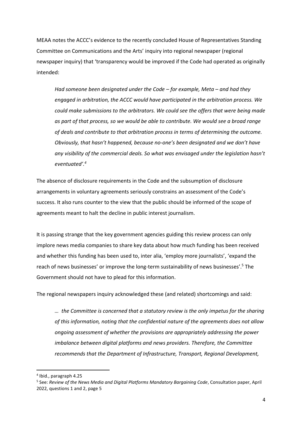MEAA notes the ACCC's evidence to the recently concluded House of Representatives Standing Committee on Communications and the Arts' inquiry into regional newspaper (regional newspaper inquiry) that 'transparency would be improved if the Code had operated as originally intended:

*Had someone been designated under the Code – for example, Meta – and had they engaged in arbitration, the ACCC would have participated in the arbitration process. We could make submissions to the arbitrators. We could see the offers that were being made as part of that process, so we would be able to contribute. We would see a broad range of deals and contribute to that arbitration process in terms of determining the outcome. Obviously, that hasn't happened, because no-one's been designated and we don't have any visibility of the commercial deals. So what was envisaged under the legislation hasn't eventuated'.<sup>4</sup>*

The absence of disclosure requirements in the Code and the subsumption of disclosure arrangements in voluntary agreements seriously constrains an assessment of the Code's success. It also runs counter to the view that the public should be informed of the scope of agreements meant to halt the decline in public interest journalism.

It is passing strange that the key government agencies guiding this review process can only implore news media companies to share key data about how much funding has been received and whether this funding has been used to, inter alia, 'employ more journalists', 'expand the reach of news businesses' or improve the long-term sustainability of news businesses'.<sup>5</sup> The Government should not have to plead for this information.

The regional newspapers inquiry acknowledged these (and related) shortcomings and said:

*… the Committee is concerned that a statutory review is the only impetus for the sharing of this information, noting that the confidential nature of the agreements does not allow ongoing assessment of whether the provisions are appropriately addressing the power imbalance between digital platforms and news providers. Therefore, the Committee recommends that the Department of Infrastructure, Transport, Regional Development,* 

<sup>4</sup> Ibid., paragraph 4.25

<sup>5</sup> See: *Review of the News Media and Digital Platforms Mandatory Bargaining Code*, Consultation paper, April 2022, questions 1 and 2, page 5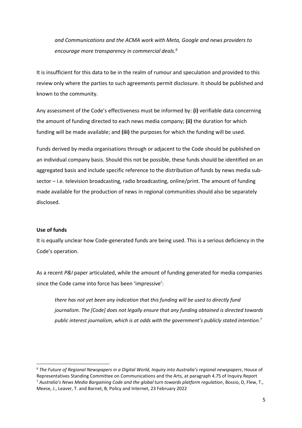*and Communications and the ACMA work with Meta, Google and news providers to encourage more transparency in commercial deals.<sup>6</sup>*

It is insufficient for this data to be in the realm of rumour and speculation and provided to this review only where the parties to such agreements permit disclosure. It should be published and known to the community.

Any assessment of the Code's effectiveness must be informed by: **(i)** verifiable data concerning the amount of funding directed to each news media company; **(ii)** the duration for which funding will be made available; and **(iii)** the purposes for which the funding will be used.

Funds derived by media organisations through or adjacent to the Code should be published on an individual company basis. Should this not be possible, these funds should be identified on an aggregated basis and include specific reference to the distribution of funds by news media subsector – i.e. television broadcasting, radio broadcasting, online/print. The amount of funding made available for the production of news in regional communities should also be separately disclosed.

#### **Use of funds**

It is equally unclear how Code-generated funds are being used. This is a serious deficiency in the Code's operation.

As a recent *P&I* paper articulated, while the amount of funding generated for media companies since the Code came into force has been 'impressive':

*there has not yet been any indication that this funding will be used to directly fund journalism. The [Code] does not legally ensure that any funding obtained is directed towards public interest journalism, which is at odds with the government's publicly stated intention.<sup>7</sup>*

<sup>6</sup> *The Future of Regional Newspapers in a Digital World, Inquiry into Australia's regional newspapers*, House of Representatives Standing Committee on Communications and the Arts, at paragraph 4.75 of Inquiry Report <sup>7</sup> *Australia's News Media Bargaining Code and the global turn towards platform regulation*, Bossio, D, Flew, T., Meese, J., Leaver, T. and Barnet, B, Policy and Internet, 23 February 2022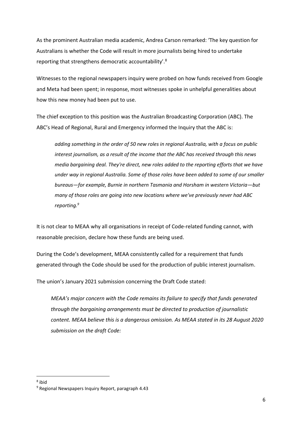As the prominent Australian media academic, Andrea Carson remarked: 'The key question for Australians is whether the Code will result in more journalists being hired to undertake reporting that strengthens democratic accountability'.<sup>8</sup>

Witnesses to the regional newspapers inquiry were probed on how funds received from Google and Meta had been spent; in response, most witnesses spoke in unhelpful generalities about how this new money had been put to use.

The chief exception to this position was the Australian Broadcasting Corporation (ABC). The ABC's Head of Regional, Rural and Emergency informed the Inquiry that the ABC is:

*adding something in the order of 50 new roles in regional Australia, with a focus on public interest journalism, as a result of the income that the ABC has received through this news media bargaining deal. They're direct, new roles added to the reporting efforts that we have under way in regional Australia. Some of those roles have been added to some of our smaller bureaus—for example, Burnie in northern Tasmania and Horsham in western Victoria—but many of those roles are going into new locations where we've previously never had ABC reporting.<sup>9</sup>*

It is not clear to MEAA why all organisations in receipt of Code-related funding cannot, with reasonable precision, declare how these funds are being used.

During the Code's development, MEAA consistently called for a requirement that funds generated through the Code should be used for the production of public interest journalism.

The union's January 2021 submission concerning the Draft Code stated:

*MEAA's major concern with the Code remains its failure to specify that funds generated through the bargaining arrangements must be directed to production of journalistic content. MEAA believe this is a dangerous omission. As MEAA stated in its 28 August 2020 submission on the draft Code:*

<sup>8</sup> ibid

<sup>9</sup> Regional Newspapers Inquiry Report, paragraph 4.43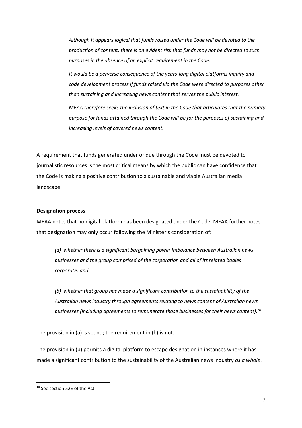*Although it appears logical that funds raised under the Code will be devoted to the production of content, there is an evident risk that funds may not be directed to such purposes in the absence of an explicit requirement in the Code.* 

*It would be a perverse consequence of the years-long digital platforms inquiry and code development process if funds raised via the Code were directed to purposes other than sustaining and increasing news content that serves the public interest.* 

*MEAA therefore seeks the inclusion of text in the Code that articulates that the primary purpose for funds attained through the Code will be for the purposes of sustaining and increasing levels of covered news content.*

A requirement that funds generated under or due through the Code must be devoted to journalistic resources is the most critical means by which the public can have confidence that the Code is making a positive contribution to a sustainable and viable Australian media landscape.

#### **Designation process**

MEAA notes that no digital platform has been designated under the Code. MEAA further notes that designation may only occur following the Minister's consideration of:

*(a) whether there is a significant bargaining power imbalance between Australian news businesses and the group comprised of the corporation and all of its related bodies corporate; and*

*(b) whether that group has made a significant contribution to the sustainability of the Australian news industry through agreements relating to news content of Australian news businesses (including agreements to remunerate those businesses for their news content).<sup>10</sup>*

The provision in (a) is sound; the requirement in (b) is not.

The provision in (b) permits a digital platform to escape designation in instances where it has made a significant contribution to the sustainability of the Australian news industry *as a whole*.

<sup>10</sup> See section 52E of the Act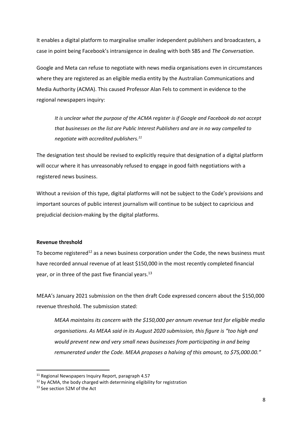It enables a digital platform to marginalise smaller independent publishers and broadcasters, a case in point being Facebook's intransigence in dealing with both SBS and *The Conversation*.

Google and Meta can refuse to negotiate with news media organisations even in circumstances where they are registered as an eligible media entity by the Australian Communications and Media Authority (ACMA). This caused Professor Alan Fels to comment in evidence to the regional newspapers inquiry:

*It is unclear what the purpose of the ACMA register is if Google and Facebook do not accept that businesses on the list are Public Interest Publishers and are in no way compelled to negotiate with accredited publishers. 11*

The designation test should be revised to explicitly require that designation of a digital platform will occur where it has unreasonably refused to engage in good faith negotiations with a registered news business.

Without a revision of this type, digital platforms will not be subject to the Code's provisions and important sources of public interest journalism will continue to be subject to capricious and prejudicial decision-making by the digital platforms.

## **Revenue threshold**

To become registered<sup>12</sup> as a news business corporation under the Code, the news business must have recorded annual revenue of at least \$150,000 in the most recently completed financial year, or in three of the past five financial years.<sup>13</sup>

MEAA's January 2021 submission on the then draft Code expressed concern about the \$150,000 revenue threshold. The submission stated:

*MEAA maintains its concern with the \$150,000 per annum revenue test for eligible media organisations. As MEAA said in its August 2020 submission, this figure is "too high and would prevent new and very small news businesses from participating in and being remunerated under the Code. MEAA proposes a halving of this amount, to \$75,000.00."*

 $11$  Regional Newspapers Inquiry Report, paragraph 4.57

<sup>&</sup>lt;sup>12</sup> by ACMA, the body charged with determining eligibility for registration

<sup>&</sup>lt;sup>13</sup> See section 52M of the Act